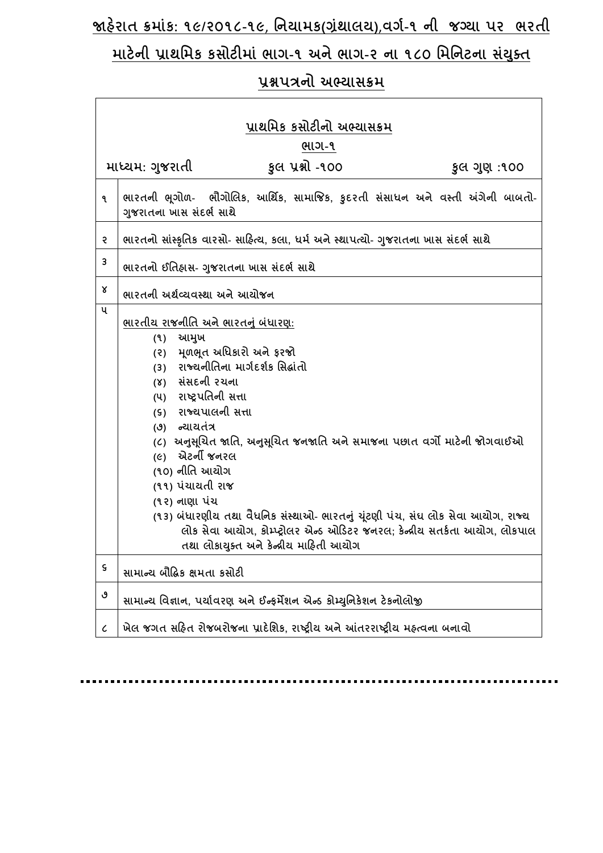# **જાહરે ાત ક્રમાાંક: ૧૯/૨૦૧૮-૧૯**, **નિયામક(ગ્રાંથાલય)**,**વર્ગ-૧ િી જગ્યા પર ભરતી**

# **માટેિી પ્રાથનમક કસોટીમાાં ભાર્-૧ અિેભાર્-૨ િા ૧૮૦ નમનિટિા સયાં ક્ુત**

# **પ્રશ્નપત્રિો અભ્યાસક્રમ**

 $\mathsf{r}$ 

| પ્રાથમિક કસોટીનો અભ્યાસક્રમ |                                                                                                                                                                                                                                                                                                                                                                                                                                                                                                                                                                                               |  |
|-----------------------------|-----------------------------------------------------------------------------------------------------------------------------------------------------------------------------------------------------------------------------------------------------------------------------------------------------------------------------------------------------------------------------------------------------------------------------------------------------------------------------------------------------------------------------------------------------------------------------------------------|--|
| ભાગ-૧                       |                                                                                                                                                                                                                                                                                                                                                                                                                                                                                                                                                                                               |  |
|                             | કુલ પ્રશ્નો -૧૦૦<br>માધ્યમ: ગુજરાતી<br>કુલ ગુણ :૧૦૦                                                                                                                                                                                                                                                                                                                                                                                                                                                                                                                                           |  |
| ۹                           | ભારતની ભૂગોળ- ભૌગોલિક, આર્થિક, સામાજિક, કુદરતી સંસાધન અને વસ્તી અંગેની બાબતો-<br>ગુજરાતના ખાસ સંદર્ભ સાથે                                                                                                                                                                                                                                                                                                                                                                                                                                                                                     |  |
| २                           | ભારતનો સાંસ્કૃતિક વારસો- સાહિત્ય, કલા, ધર્મ અને સ્થાપત્યો- ગુજરાતના ખાસ સંદર્ભ સાથે                                                                                                                                                                                                                                                                                                                                                                                                                                                                                                           |  |
| 3                           | ભારતનો ઈતિહ્રાસ- ગુજરાતના ખાસ સંદર્ભ સાથે                                                                                                                                                                                                                                                                                                                                                                                                                                                                                                                                                     |  |
| γ                           | ભારતની અર્થવ્યવસ્થા અને આયોજન                                                                                                                                                                                                                                                                                                                                                                                                                                                                                                                                                                 |  |
| ૫                           | <u>ભારતીય રાજનીતિ અને ભારતનું બંધારણ:</u><br>આમુખ<br>(9)<br>મળભુત અધિકારો અને ફરજો<br>(5)<br>રાજ્યનીતિના માર્ગદર્શક સિદ્ધાંતો<br>(3)<br>(४) સંસદની રચના<br>(૫) રાષ્ટ્રપતિની સત્તા<br>(s) રાજ્યપાલની સત્તા<br>(૭) ન્યાયતંત્ર<br>(૮)  અનુસૂચિત જાતિ, અનુસૂચિત જનજાતિ અને સમાજના પછાત વર્ગો માટેની જોગવાઈઓ<br>(૯) એટર્ની જનરલ<br>(૧૦) નીતિ આચોગ<br>(૧૧) પંચાયતી રાજ<br>(૧૨) નાણા પંચ<br>(૧૩) બંધારણીય તથા વૈધનિક સંસ્થાઓ- ભારતનું યૂંટણી પંચ, સંઘ લોક સેવા આયોગ, રાજ્ય<br>લોક સેવા આયોગ, કોમ્પ્ટ્રોલર એન્ડ ઓડિટર જનરલ; કેન્દ્રીય સતર્કતા આયોગ, લોકપાલ<br>તથા લોકાયુક્ત અને કેન્દ્રીય માહિતી આયોગ |  |
| $\boldsymbol{\varsigma}$    | સામાન્ય બૌદ્ધિક ક્ષમતા કસોટી                                                                                                                                                                                                                                                                                                                                                                                                                                                                                                                                                                  |  |
| ٯ                           | સામાન્ય વિજ્ઞાન, પર્યાવરણ અને ઈન્ફર્મેશન એન્ડ કોમ્યુનિકેશન ટેકનોલોજી                                                                                                                                                                                                                                                                                                                                                                                                                                                                                                                          |  |
| $\mathcal C$                | ખેલ જગત સહિત રોજબરોજના પ્રાદેશિક, રાષ્ટ્રીય અને આંતરરાષ્ટ્રીય મહ્ત્વના બનાવો                                                                                                                                                                                                                                                                                                                                                                                                                                                                                                                  |  |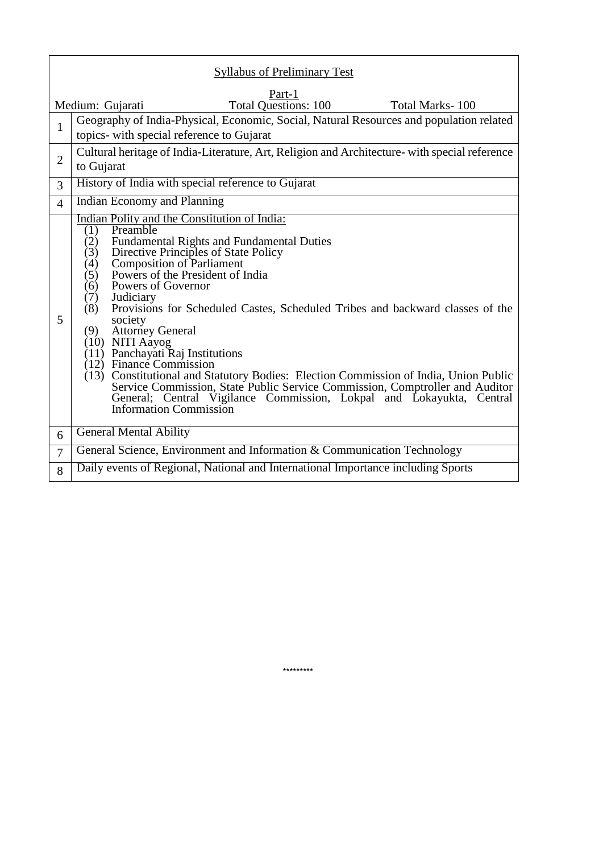| <b>Syllabus of Preliminary Test</b>                                          |                                                                                                                                                                                                                                                                                                                                                                                                                                                                                                                                                                                                                                                                                                                                                                                                                       |  |
|------------------------------------------------------------------------------|-----------------------------------------------------------------------------------------------------------------------------------------------------------------------------------------------------------------------------------------------------------------------------------------------------------------------------------------------------------------------------------------------------------------------------------------------------------------------------------------------------------------------------------------------------------------------------------------------------------------------------------------------------------------------------------------------------------------------------------------------------------------------------------------------------------------------|--|
| Part-1<br><b>Total Questions: 100</b><br>Medium: Gujarati<br>Total Marks-100 |                                                                                                                                                                                                                                                                                                                                                                                                                                                                                                                                                                                                                                                                                                                                                                                                                       |  |
| $\mathbf{1}$                                                                 | Geography of India-Physical, Economic, Social, Natural Resources and population related<br>topics- with special reference to Gujarat                                                                                                                                                                                                                                                                                                                                                                                                                                                                                                                                                                                                                                                                                  |  |
| $\overline{2}$                                                               | Cultural heritage of India-Literature, Art, Religion and Architecture- with special reference<br>to Gujarat                                                                                                                                                                                                                                                                                                                                                                                                                                                                                                                                                                                                                                                                                                           |  |
| 3                                                                            | History of India with special reference to Gujarat                                                                                                                                                                                                                                                                                                                                                                                                                                                                                                                                                                                                                                                                                                                                                                    |  |
| $\overline{4}$                                                               | Indian Economy and Planning                                                                                                                                                                                                                                                                                                                                                                                                                                                                                                                                                                                                                                                                                                                                                                                           |  |
| 5                                                                            | Indian Polity and the Constitution of India:<br>Preamble<br>(1)<br><b>Fundamental Rights and Fundamental Duties</b><br>(2)<br>Directive Principles of State Policy<br>(3)<br><b>Composition of Parliament</b><br>(4)<br>Powers of the President of India<br>(5)<br>Powers of Governor<br>(6)<br>Judiciary<br>(7)<br>Provisions for Scheduled Castes, Scheduled Tribes and backward classes of the<br>(8)<br>society<br><b>Attorney General</b><br>(9)<br>(10) NITI Aayog<br>$(11)$ Panchayati Raj Institutions<br>$(12)$ Finance Commission<br>(13) Constitutional and Statutory Bodies: Election Commission of India, Union Public<br>Service Commission, State Public Service Commission, Comptroller and Auditor<br>General; Central Vigilance Commission, Lokpal and Lokayukta, Central<br>Information Commission |  |
| 6                                                                            | <b>General Mental Ability</b>                                                                                                                                                                                                                                                                                                                                                                                                                                                                                                                                                                                                                                                                                                                                                                                         |  |
| $\overline{7}$                                                               | General Science, Environment and Information & Communication Technology                                                                                                                                                                                                                                                                                                                                                                                                                                                                                                                                                                                                                                                                                                                                               |  |
| 8                                                                            | Daily events of Regional, National and International Importance including Sports                                                                                                                                                                                                                                                                                                                                                                                                                                                                                                                                                                                                                                                                                                                                      |  |

 **\*\*\*\*\*\*\*\*\***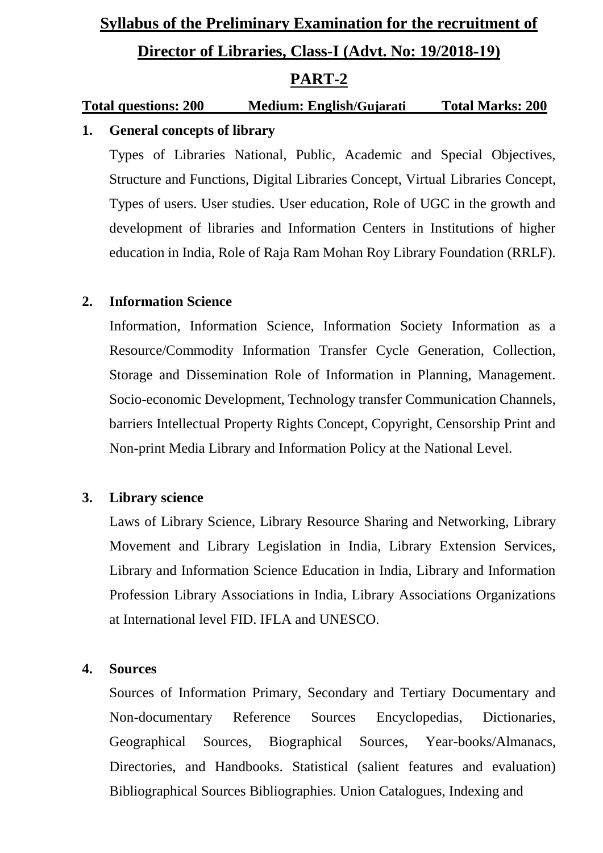# **Syllabus of the Preliminary Examination for the recruitment of Director of Libraries, Class-I (Advt. No: 19/2018-19) PART-2**

# **Total questions: 200 Medium: English/Gujarati Total Marks: 200 1. General concepts of library**

Types of Libraries National, Public, Academic and Special Objectives, Structure and Functions, Digital Libraries Concept, Virtual Libraries Concept, Types of users. User studies. User education, Role of UGC in the growth and development of libraries and Information Centers in Institutions of higher education in India, Role of Raja Ram Mohan Roy Library Foundation (RRLF).

# **2. Information Science**

Information, Information Science, Information Society Information as a Resource/Commodity Information Transfer Cycle Generation, Collection, Storage and Dissemination Role of Information in Planning, Management. Socio-economic Development, Technology transfer Communication Channels, barriers Intellectual Property Rights Concept, Copyright, Censorship Print and Non-print Media Library and Information Policy at the National Level.

## **3. Library science**

Laws of Library Science, Library Resource Sharing and Networking, Library Movement and Library Legislation in India, Library Extension Services, Library and Information Science Education in India, Library and Information Profession Library Associations in India, Library Associations Organizations at International level FID. IFLA and UNESCO.

## **4. Sources**

Sources of Information Primary, Secondary and Tertiary Documentary and Non-documentary Reference Sources Encyclopedias, Dictionaries, Geographical Sources, Biographical Sources, Year-books/Almanacs, Directories, and Handbooks. Statistical (salient features and evaluation) Bibliographical Sources Bibliographies. Union Catalogues, Indexing and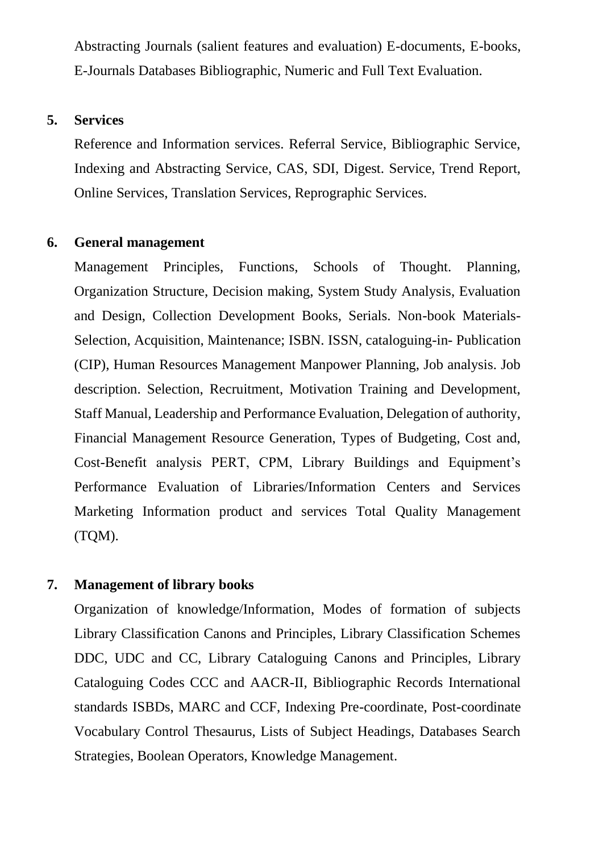Abstracting Journals (salient features and evaluation) E-documents, E-books, E-Journals Databases Bibliographic, Numeric and Full Text Evaluation.

## **5. Services**

Reference and Information services. Referral Service, Bibliographic Service, Indexing and Abstracting Service, CAS, SDI, Digest. Service, Trend Report, Online Services, Translation Services, Reprographic Services.

#### **6. General management**

Management Principles, Functions, Schools of Thought. Planning, Organization Structure, Decision making, System Study Analysis, Evaluation and Design, Collection Development Books, Serials. Non-book Materials-Selection, Acquisition, Maintenance; ISBN. ISSN, cataloguing-in- Publication (CIP), Human Resources Management Manpower Planning, Job analysis. Job description. Selection, Recruitment, Motivation Training and Development, Staff Manual, Leadership and Performance Evaluation, Delegation of authority, Financial Management Resource Generation, Types of Budgeting, Cost and, Cost-Benefit analysis PERT, CPM, Library Buildings and Equipment's Performance Evaluation of Libraries/Information Centers and Services Marketing Information product and services Total Quality Management (TQM).

## **7. Management of library books**

Organization of knowledge/Information, Modes of formation of subjects Library Classification Canons and Principles, Library Classification Schemes DDC, UDC and CC, Library Cataloguing Canons and Principles, Library Cataloguing Codes CCC and AACR-II, Bibliographic Records International standards ISBDs, MARC and CCF, Indexing Pre-coordinate, Post-coordinate Vocabulary Control Thesaurus, Lists of Subject Headings, Databases Search Strategies, Boolean Operators, Knowledge Management.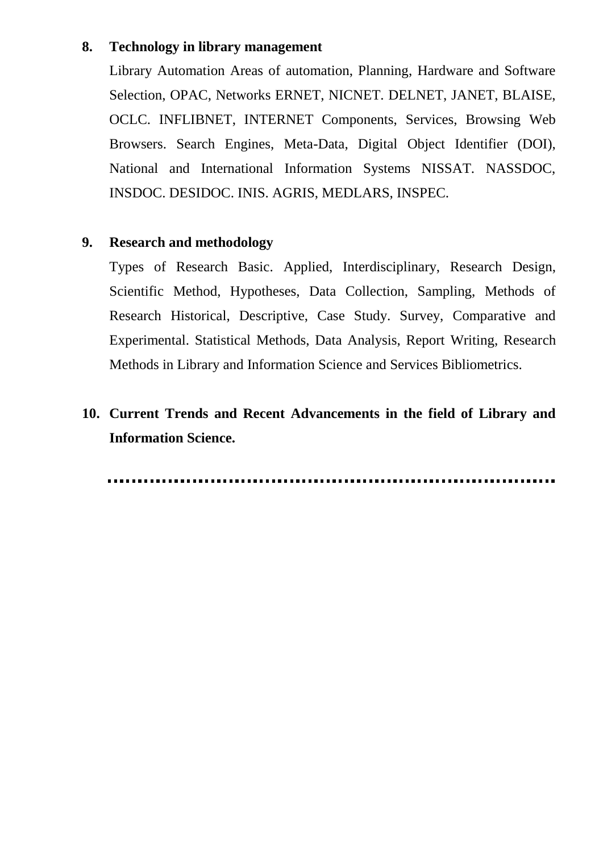## **8. Technology in library management**

Library Automation Areas of automation, Planning, Hardware and Software Selection, OPAC, Networks ERNET, NICNET. DELNET, JANET, BLAISE, OCLC. INFLIBNET, INTERNET Components, Services, Browsing Web Browsers. Search Engines, Meta-Data, Digital Object Identifier (DOI), National and International Information Systems NISSAT. NASSDOC, INSDOC. DESIDOC. INIS. AGRIS, MEDLARS, INSPEC.

## **9. Research and methodology**

Types of Research Basic. Applied, Interdisciplinary, Research Design, Scientific Method, Hypotheses, Data Collection, Sampling, Methods of Research Historical, Descriptive, Case Study. Survey, Comparative and Experimental. Statistical Methods, Data Analysis, Report Writing, Research Methods in Library and Information Science and Services Bibliometrics.

# **10. Current Trends and Recent Advancements in the field of Library and Information Science.**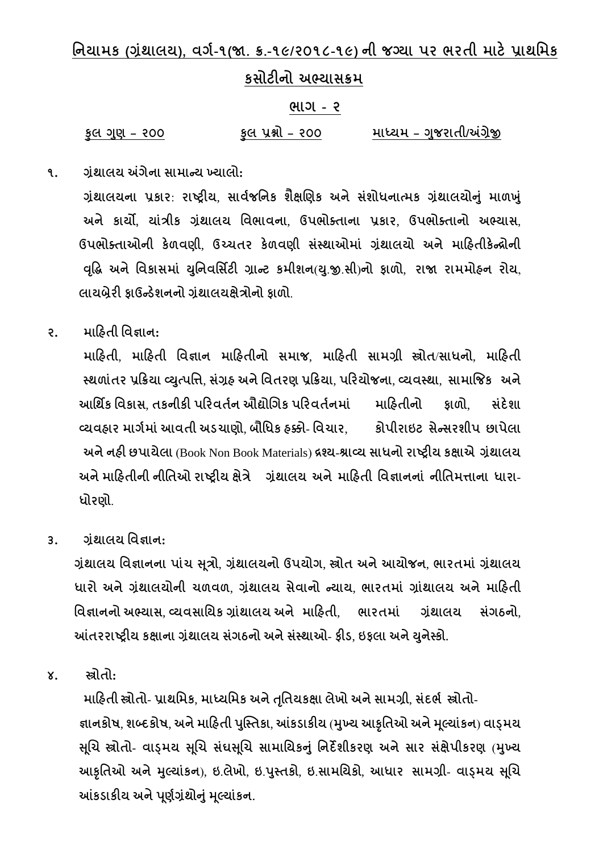**નિયામક (ગ્રાંથાલય), વર્ગ-૧(જા. ક્ર.-૧૯/૨૦૧૮-૧૯) િી જગ્યા પર ભરતી માટેપ્રાથનમક**

# **કસોટીિો અભ્યાસક્રમ**

#### **ભાર્ - ૨**

**કુલ ગણુ – ૨૦૦ કુલ પ્રશ્નો – ૨૦૦ માધ્યમ – ગજુ રાતી/અંગ્રેજી**

**૧. ગ્રાંથાલય અંર્ેિા સામાન્ય ખ્યાલો:** 

**ગ્રાંથાલયિા પ્રકાર**: **રાષ્ટ્રીય**, **સાવગજનિક ર્ૈક્ષલણક અિેસાંર્ોધિાત્મક ગ્રથાં ાલયોનાંુમાળખાંુ અિે કાયો, યાાંત્રીક ગ્રાંથાલય નવભાવિા**, **ઉપભોક્તાિા પ્રકાર**, **ઉપભોક્તાિો અભ્યાસ**, **ઉપભોક્તાઓિી કેળવણી**, **ઉચ્ચતર કેળવણી સાંસ્થાઓમાાં ગ્રાંથાલયો અિે માહહતીકેન્રોિી વદ્ધૃદ્ અિેનવકાસમાાં યનુિવનસિટી ગ્રાન્ટ કમીર્િ**(**ય**.**ુજી**.**સી**)**િો ફાળો**, **રાજા રામમોહિ રોય**, **લાયબ્રેરી ફાઉન્ડેર્િિો ગ્રથાં ાલયક્ષેત્રોિો ફાળો**.

**૨. માહહતી નવજ્ઞાિ:** 

**માહહતી**, **માહહતી નવજ્ઞાિ માહહતીિો સમાજ**, **માહહતી સામગ્રી સ્ત્રોત**/**સાધિો**, **માહહતી સ્થળાાંતર પ્રહક્રયા વ્યત્ુપનત્ત**, **સાંગ્રહ અિેનવતરણ પ્રહક્રયા**, **પહરયોજિા**, **વ્યવસ્થા**, **સામાજજક અિે આનથિક નવકાસ**, **તકિીકી પહરવતગિ ઔદ્યોલર્ક પહરવતગિમાાં માહહતીિો ફાળો**, **સદાં ેર્ા વ્યવહાર માર્ગમાાંઆવતી અડચાણો**, **બૌનધક હક્કો**- **નવચાર**, **કોપીરાઇટ સેન્સરર્ીપ છાપેલા અિેિહી છપાયેલા** (Book Non Book Materials) **રશ્ય**-**શ્રાવ્ય સાધિો રાષ્ટ્રીય કક્ષાએ ગ્રાંથાલય અિેમાહહતીિી િીનતઓ રાષ્ટ્રીય ક્ષેત્રે ગ્રાંથાલય અિેમાહહતી નવજ્ઞાિિાાં િીનતમત્તાિા ધારા**- **ધોરણો**.

**૩. ગ્રાંથાલય નવજ્ઞાિ:**

**ગ્રાંથાલય નવજ્ઞાિિા પાાંચ સ ૂત્રો**, **ગ્રાંથાલયિો ઉપયોર્**, **સ્ત્રોત અિેઆયોજિ**, **ભારતમાાં ગ્રાંથાલય ધારો અિેગ્રાંથાલયોિી ચળવળ**, **ગ્રાંથાલય સેવાિો ન્યાય**, **ભારતમાાં ગ્રાાંથાલય અિેમાહહતી નવજ્ઞાિિો અભ્યાસ**, **વ્યવસાનયક ગ્રાાંથાલય અિે માહહતી**, **ભારતમાાં ગ્રાંથાલય સાંર્ઠિો**, **આંતરરાષ્ટ્રીય કક્ષાિા ગ્રાંથાલય સાંર્ઠિો અિેસાંસ્થાઓ**- **ફીડ**, **ઇફલા અિેયિુ ેસ્કો.**

**૪. સ્ત્રોતો:** 

**માહહતી સ્ત્રોતો**- **પ્રાથનમક**, **માધ્યનમક અિેતનૃતયકક્ષા લેખો અિેસામગ્રી**, **સાંદભગ સ્ત્રોતો**- **જ્ઞાિકોષ**, **ર્બ્દકોષ**, **અિેમાહહતી પસ્ુસ્તકા**, **આંકડાકીય** (**મખ્ુય આકૃનતઓ અિેમ ૂલયાાંકિ**) **વાડ્મય સ ૂલચ સ્ત્રોતો**- **વાડ્મય સ ૂલચ સાંઘસ ૂલચ સામાનયકનાંુનિદેર્ીકરણ અિેસાર સક્ષાં ેપીકરણ** (**મખ્ુય આકૃનતઓ અિેમલુયાકાં િ**), **ઇ**.**લેખો**, **ઇ**.**પસ્ુતકો**, **ઇ**.**સામનયકો**, **આધાર સામગ્રી**- **વાડ્મય સ ૂલચ આંકડાકીય અિેપણૂ ગગ્રથાં ોનાંુમ ૂલયાાંકિ.**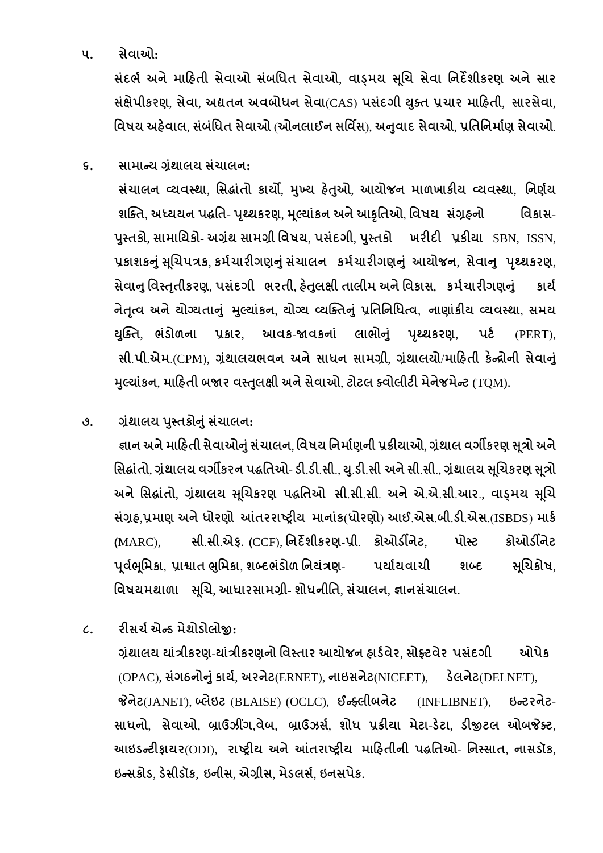# **૫. સેવાઓ:**

**સાંદભગ અિેમાહહતી સેવાઓ સાંબનધત સેવાઓ**, **વાડ્મય સ ૂલચ સેવા નિદેર્ીકરણ અિેસાર સક્ષાં ેપીકરણ**, **સેવા**, **અદ્યતિ અવબોધિ સેવા**(CAS) **પસાંદર્ી યક્ુત પ્રચાર માહહતી**, **સારસેવા**, **નવષય અહવે ાલ**, **સાંબાંનધત સેવાઓ** (**ઓિલાઈિ સનવિસ**), **અનવુ ાદ સેવાઓ**, **પ્રનતનિમાગણ સેવાઓ**.

**૬. સામાન્ય ગ્રાંથાલય સાંચાલિ:** 

**સાંચાલિ વ્યવસ્થા**, **નસદ્ાાંતો કાયો**, **મખ્ુય હતે ઓુ** , **આયોજિ માળખાકીય વ્યવસ્થા**, **નિણગય ર્સ્ક્ત**, **અધ્યયિ પદ્નત**- **પથ્ૃથકરણ**, **મ ૂલયાાંકિ અિેઆકૃનતઓ**, **નવષય સાંગ્રહિો નવકાસ**-**પસ્ુતકો**, **સામાનયકો**- **અગ્રાંથ સામગ્રી નવષય**, **પસાંદર્ી**, **પસ્ુતકો ખરીદી પ્રકીયા** SBN, ISSN, **પ્રકાર્કનાંુસ ૂલચપત્રક**, **કમગચારીર્ણનાંુસાંચાલિ કમગચારીર્ણનાંુઆયોજિ**, **સેવાનુ પથ્ૃથકરણ**, **સેવાનુનવસ્તતૃ ીકરણ**, **પસાંદર્ી ભરતી**, **હતે લુ ક્ષી તાલીમ અિેનવકાસ**, **કમગચારીર્ણનાંુ કાયગ િેતત્ૃવ અિેયોગ્યતાનાંુ મલુયાકાં િ**, **યોગ્ય વ્યસ્ક્તનાંુપ્રનતનિનધત્વ**, **િાણાાંકીય વ્યવસ્થા**, **સમય યસ્ુક્ત**, **ભાંડોળિા પ્રકાર**, **આવક**-**જાવકિાાં લાભોનાંુ પથ્ૃથકરણ, પટગ** (PERT)**, સી**.**પી**.**એમ**.(CPM), **ગ્રાંથાલયભવિ અિેસાધિ સામગ્રી**, **ગ્રાંથાલયો**/**માહહતી કેન્રોિી સેવાનાંુ મલુયાકાં િ**, **માહહતી બજાર વસ્તલુ ક્ષી અિેસેવાઓ**, **ટોટલ ક્વોલીટી મેિેજમેન્ટ** (TQM)**.**

**૭. ગ્રાંથાલય પસ્ુતકોનાંુસાંચાલિ:** 

**જ્ઞાિ અિેમાહહતી સેવાઓનાંુસાંચાલિ**, **નવષય નિમાગણિી પ્રક્રીયાઓ**, **ગ્રાંથાલ વર્ીકરણ સ ૂત્રો અિે નસદ્ાાંતો**, **ગ્રાંથાલય વર્ીકરિ પદ્નતઓ**- **ડી**.**ડી**.**સી**., **ય**.**ુડી**.**સી અિેસી**.**સી**., **ગ્રાંથાલય સ ૂલચકરણ સ ૂત્રો અિેનસદ્ાાંતો**, **ગ્રાંથાલય સ ૂલચકરણ પદ્નતઓ સી**.**સી**.**સી**. **અિેએ**.**એ**.**સી**.**આર**., **વાડ્મય સ ૂલચ સાંગ્રહ**,**પ્રમાણ અિેધોરણો આંતરરાષ્ટ્રીય માિાાંક**(**ધોરણો**) **આઈ**.**એસ**.**બી**.**ડી**.**એસ**.(ISBDS) **માકગ (**MARC), **સી**.**સી**.**એફ. (**CCF), **નિદેર્ીકરણ**-**પ્રી**. **કોઓડીિેટ**, **પોસ્ટ કોઓડીિેટ પ ૂવગભ ૂનમકા**, **પ્રાશ્વાત ભનુમકા**, **ર્બ્દભાંડોળ નિયાંત્રણ**- **પયાગયવાચી ર્બ્દ સ ૂલચકોષ**, **નવષયમથાળા સ ૂલચ**, **આધારસામગ્રી**- **ર્ોધિીનત**, **સાંચાલિ**, **જ્ઞાિસાંચાલિ.** 

**૮. રીસચગએન્ડ મેથોડોલોજી:** 

**ગ્રાંથાલય યાાંત્રીકરણ**-**યાાંત્રીકરણિો નવસ્તાર આયોજિ હાડગવેર**, **સોફ્ટવેર પસાંદર્ી ઓપેક** (OPAC), **સર્ાં ઠિોનાંુકાયગ**, **અરિેટ**(ERNET), **િાઇસિેટ**(NICEET), **ડેલિેટ**(DELNET), **જેિેટ**(JANET), **બ્લેઇટ** (BLAISE) (OCLC), **ઈન્ફ્લીબિેટ** (INFLIBNET), **ઇન્ટરિેટ**-**સાધિો**, **સેવાઓ**, **બ્રાઉઝીંર્**,**વેબ, બ્રાઉઝસગ**, **ર્ોધ પ્રક્રીયા મેટા**-**ડેટા**, **ડીજીટલ ઓબજેક્ટ**, **આઇડન્ટીફાયર**(ODI), **રાષ્ટ્રીય અિેઆંતરાષ્ટ્રીય માહહતીિી પદ્નતઓ**- **નિસ્સાત**, **િાસડૉક**, **ઇન્સકોડ**, **ડેસીડૉક**, **ઇિીસ**, **એગ્રીસ**, **મેડલસગ**, **ઇિસપેક.**